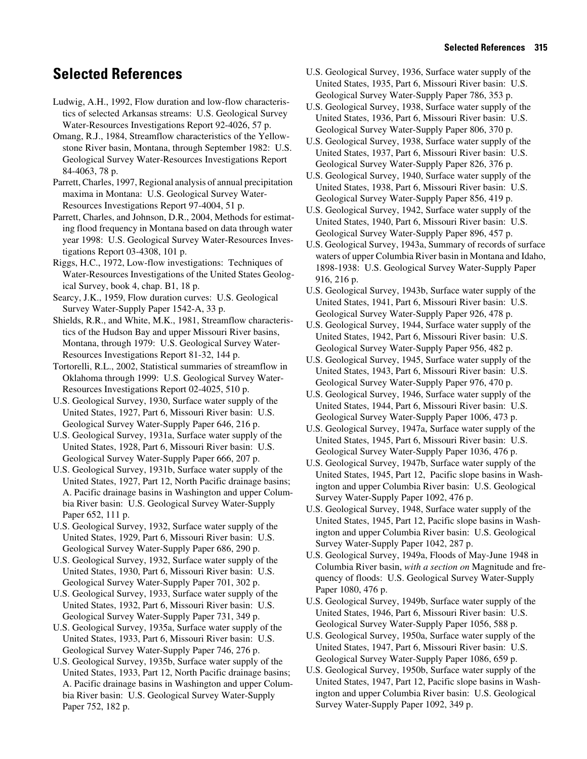## **Selected References**

- Ludwig, A.H., 1992, Flow duration and low-flow characteristics of selected Arkansas streams: U.S. Geological Survey Water-Resources Investigations Report 92-4026, 57 p.
- Omang, R.J., 1984, Streamflow characteristics of the Yellowstone River basin, Montana, through September 1982: U.S. Geological Survey Water-Resources Investigations Report 84-4063, 78 p.
- Parrett, Charles, 1997, Regional analysis of annual precipitation maxima in Montana: U.S. Geological Survey Water-Resources Investigations Report 97-4004, 51 p.
- Parrett, Charles, and Johnson, D.R., 2004, Methods for estimating flood frequency in Montana based on data through water year 1998: U.S. Geological Survey Water-Resources Investigations Report 03-4308, 101 p.
- Riggs, H.C., 1972, Low-flow investigations: Techniques of Water-Resources Investigations of the United States Geological Survey, book 4, chap. B1, 18 p.
- Searcy, J.K., 1959, Flow duration curves: U.S. Geological Survey Water-Supply Paper 1542-A, 33 p.
- Shields, R.R., and White, M.K., 1981, Streamflow characteristics of the Hudson Bay and upper Missouri River basins, Montana, through 1979: U.S. Geological Survey Water-Resources Investigations Report 81-32, 144 p.
- Tortorelli, R.L., 2002, Statistical summaries of streamflow in Oklahoma through 1999: U.S. Geological Survey Water-Resources Investigations Report 02-4025, 510 p.
- U.S. Geological Survey, 1930, Surface water supply of the United States, 1927, Part 6, Missouri River basin: U.S. Geological Survey Water-Supply Paper 646, 216 p.
- U.S. Geological Survey, 1931a, Surface water supply of the United States, 1928, Part 6, Missouri River basin: U.S. Geological Survey Water-Supply Paper 666, 207 p.
- U.S. Geological Survey, 1931b, Surface water supply of the United States, 1927, Part 12, North Pacific drainage basins; A. Pacific drainage basins in Washington and upper Columbia River basin: U.S. Geological Survey Water-Supply Paper 652, 111 p.
- U.S. Geological Survey, 1932, Surface water supply of the United States, 1929, Part 6, Missouri River basin: U.S. Geological Survey Water-Supply Paper 686, 290 p.
- U.S. Geological Survey, 1932, Surface water supply of the United States, 1930, Part 6, Missouri River basin: U.S. Geological Survey Water-Supply Paper 701, 302 p.
- U.S. Geological Survey, 1933, Surface water supply of the United States, 1932, Part 6, Missouri River basin: U.S. Geological Survey Water-Supply Paper 731, 349 p.
- U.S. Geological Survey, 1935a, Surface water supply of the United States, 1933, Part 6, Missouri River basin: U.S. Geological Survey Water-Supply Paper 746, 276 p.
- U.S. Geological Survey, 1935b, Surface water supply of the United States, 1933, Part 12, North Pacific drainage basins; A. Pacific drainage basins in Washington and upper Columbia River basin: U.S. Geological Survey Water-Supply Paper 752, 182 p.
- U.S. Geological Survey, 1936, Surface water supply of the United States, 1935, Part 6, Missouri River basin: U.S. Geological Survey Water-Supply Paper 786, 353 p.
- U.S. Geological Survey, 1938, Surface water supply of the United States, 1936, Part 6, Missouri River basin: U.S. Geological Survey Water-Supply Paper 806, 370 p.
- U.S. Geological Survey, 1938, Surface water supply of the United States, 1937, Part 6, Missouri River basin: U.S. Geological Survey Water-Supply Paper 826, 376 p.
- U.S. Geological Survey, 1940, Surface water supply of the United States, 1938, Part 6, Missouri River basin: U.S. Geological Survey Water-Supply Paper 856, 419 p.
- U.S. Geological Survey, 1942, Surface water supply of the United States, 1940, Part 6, Missouri River basin: U.S. Geological Survey Water-Supply Paper 896, 457 p.
- U.S. Geological Survey, 1943a, Summary of records of surface waters of upper Columbia River basin in Montana and Idaho, 1898-1938: U.S. Geological Survey Water-Supply Paper 916, 216 p.
- U.S. Geological Survey, 1943b, Surface water supply of the United States, 1941, Part 6, Missouri River basin: U.S. Geological Survey Water-Supply Paper 926, 478 p.
- U.S. Geological Survey, 1944, Surface water supply of the United States, 1942, Part 6, Missouri River basin: U.S. Geological Survey Water-Supply Paper 956, 482 p.
- U.S. Geological Survey, 1945, Surface water supply of the United States, 1943, Part 6, Missouri River basin: U.S. Geological Survey Water-Supply Paper 976, 470 p.
- U.S. Geological Survey, 1946, Surface water supply of the United States, 1944, Part 6, Missouri River basin: U.S. Geological Survey Water-Supply Paper 1006, 473 p.
- U.S. Geological Survey, 1947a, Surface water supply of the United States, 1945, Part 6, Missouri River basin: U.S. Geological Survey Water-Supply Paper 1036, 476 p.
- U.S. Geological Survey, 1947b, Surface water supply of the United States, 1945, Part 12, Pacific slope basins in Washington and upper Columbia River basin: U.S. Geological Survey Water-Supply Paper 1092, 476 p.
- U.S. Geological Survey, 1948, Surface water supply of the United States, 1945, Part 12, Pacific slope basins in Washington and upper Columbia River basin: U.S. Geological Survey Water-Supply Paper 1042, 287 p.
- U.S. Geological Survey, 1949a, Floods of May-June 1948 in Columbia River basin, *with a section on* Magnitude and frequency of floods: U.S. Geological Survey Water-Supply Paper 1080, 476 p.
- U.S. Geological Survey, 1949b, Surface water supply of the United States, 1946, Part 6, Missouri River basin: U.S. Geological Survey Water-Supply Paper 1056, 588 p.
- U.S. Geological Survey, 1950a, Surface water supply of the United States, 1947, Part 6, Missouri River basin: U.S. Geological Survey Water-Supply Paper 1086, 659 p.
- U.S. Geological Survey, 1950b, Surface water supply of the United States, 1947, Part 12, Pacific slope basins in Washington and upper Columbia River basin: U.S. Geological Survey Water-Supply Paper 1092, 349 p.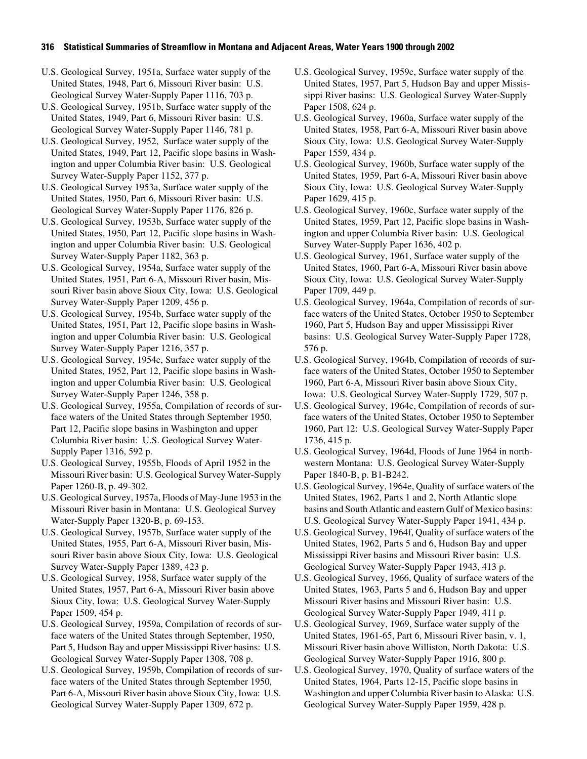## **316 Statistical Summaries of Streamflow in Montana and Adjacent Areas, Water Years 1900 through 2002**

U.S. Geological Survey, 1951a, Surface water supply of the United States, 1948, Part 6, Missouri River basin: U.S. Geological Survey Water-Supply Paper 1116, 703 p.

- U.S. Geological Survey, 1951b, Surface water supply of the United States, 1949, Part 6, Missouri River basin: U.S. Geological Survey Water-Supply Paper 1146, 781 p.
- U.S. Geological Survey, 1952, Surface water supply of the United States, 1949, Part 12, Pacific slope basins in Washington and upper Columbia River basin: U.S. Geological Survey Water-Supply Paper 1152, 377 p.
- U.S. Geological Survey 1953a, Surface water supply of the United States, 1950, Part 6, Missouri River basin: U.S. Geological Survey Water-Supply Paper 1176, 826 p.
- U.S. Geological Survey, 1953b, Surface water supply of the United States, 1950, Part 12, Pacific slope basins in Washington and upper Columbia River basin: U.S. Geological Survey Water-Supply Paper 1182, 363 p.
- U.S. Geological Survey, 1954a, Surface water supply of the United States, 1951, Part 6-A, Missouri River basin, Missouri River basin above Sioux City, Iowa: U.S. Geological Survey Water-Supply Paper 1209, 456 p.
- U.S. Geological Survey, 1954b, Surface water supply of the United States, 1951, Part 12, Pacific slope basins in Washington and upper Columbia River basin: U.S. Geological Survey Water-Supply Paper 1216, 357 p.
- U.S. Geological Survey, 1954c, Surface water supply of the United States, 1952, Part 12, Pacific slope basins in Washington and upper Columbia River basin: U.S. Geological Survey Water-Supply Paper 1246, 358 p.
- U.S. Geological Survey, 1955a, Compilation of records of surface waters of the United States through September 1950, Part 12, Pacific slope basins in Washington and upper Columbia River basin: U.S. Geological Survey Water-Supply Paper 1316, 592 p.
- U.S. Geological Survey, 1955b, Floods of April 1952 in the Missouri River basin: U.S. Geological Survey Water-Supply Paper 1260-B, p. 49-302.
- U.S. Geological Survey, 1957a, Floods of May-June 1953 in the Missouri River basin in Montana: U.S. Geological Survey Water-Supply Paper 1320-B, p. 69-153.
- U.S. Geological Survey, 1957b, Surface water supply of the United States, 1955, Part 6-A, Missouri River basin, Missouri River basin above Sioux City, Iowa: U.S. Geological Survey Water-Supply Paper 1389, 423 p.
- U.S. Geological Survey, 1958, Surface water supply of the United States, 1957, Part 6-A, Missouri River basin above Sioux City, Iowa: U.S. Geological Survey Water-Supply Paper 1509, 454 p.
- U.S. Geological Survey, 1959a, Compilation of records of surface waters of the United States through September, 1950, Part 5, Hudson Bay and upper Mississippi River basins: U.S. Geological Survey Water-Supply Paper 1308, 708 p.
- U.S. Geological Survey, 1959b, Compilation of records of surface waters of the United States through September 1950, Part 6-A, Missouri River basin above Sioux City, Iowa: U.S. Geological Survey Water-Supply Paper 1309, 672 p.
- U.S. Geological Survey, 1959c, Surface water supply of the United States, 1957, Part 5, Hudson Bay and upper Mississippi River basins: U.S. Geological Survey Water-Supply Paper 1508, 624 p.
- U.S. Geological Survey, 1960a, Surface water supply of the United States, 1958, Part 6-A, Missouri River basin above Sioux City, Iowa: U.S. Geological Survey Water-Supply Paper 1559, 434 p.
- U.S. Geological Survey, 1960b, Surface water supply of the United States, 1959, Part 6-A, Missouri River basin above Sioux City, Iowa: U.S. Geological Survey Water-Supply Paper 1629, 415 p.
- U.S. Geological Survey, 1960c, Surface water supply of the United States, 1959, Part 12, Pacific slope basins in Washington and upper Columbia River basin: U.S. Geological Survey Water-Supply Paper 1636, 402 p.
- U.S. Geological Survey, 1961, Surface water supply of the United States, 1960, Part 6-A, Missouri River basin above Sioux City, Iowa: U.S. Geological Survey Water-Supply Paper 1709, 449 p.
- U.S. Geological Survey, 1964a, Compilation of records of surface waters of the United States, October 1950 to September 1960, Part 5, Hudson Bay and upper Mississippi River basins: U.S. Geological Survey Water-Supply Paper 1728, 576 p.
- U.S. Geological Survey, 1964b, Compilation of records of surface waters of the United States, October 1950 to September 1960, Part 6-A, Missouri River basin above Sioux City, Iowa: U.S. Geological Survey Water-Supply 1729, 507 p.
- U.S. Geological Survey, 1964c, Compilation of records of surface waters of the United States, October 1950 to September 1960, Part 12: U.S. Geological Survey Water-Supply Paper 1736, 415 p.
- U.S. Geological Survey, 1964d, Floods of June 1964 in northwestern Montana: U.S. Geological Survey Water-Supply Paper 1840-B, p. B1-B242.
- U.S. Geological Survey, 1964e, Quality of surface waters of the United States, 1962, Parts 1 and 2, North Atlantic slope basins and South Atlantic and eastern Gulf of Mexico basins: U.S. Geological Survey Water-Supply Paper 1941, 434 p.
- U.S. Geological Survey, 1964f, Quality of surface waters of the United States, 1962, Parts 5 and 6, Hudson Bay and upper Mississippi River basins and Missouri River basin: U.S. Geological Survey Water-Supply Paper 1943, 413 p.
- U.S. Geological Survey, 1966, Quality of surface waters of the United States, 1963, Parts 5 and 6, Hudson Bay and upper Missouri River basins and Missouri River basin: U.S. Geological Survey Water-Supply Paper 1949, 411 p.
- U.S. Geological Survey, 1969, Surface water supply of the United States, 1961-65, Part 6, Missouri River basin, v. 1, Missouri River basin above Williston, North Dakota: U.S. Geological Survey Water-Supply Paper 1916, 800 p.
- U.S. Geological Survey, 1970, Quality of surface waters of the United States, 1964, Parts 12-15, Pacific slope basins in Washington and upper Columbia River basin to Alaska: U.S. Geological Survey Water-Supply Paper 1959, 428 p.